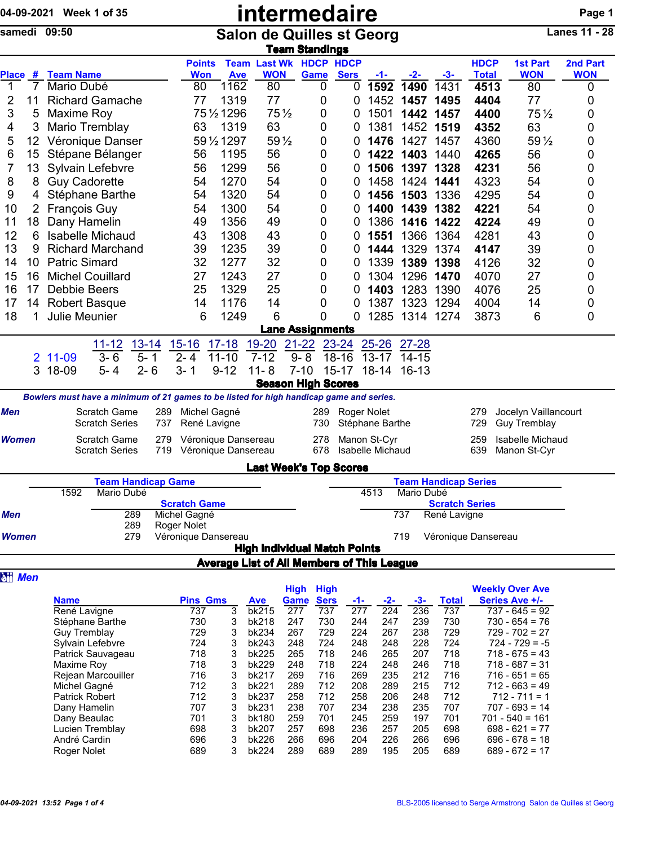|                      | 04-09-2021 Week 1 of 35                                                                 |                                       |            |                                            |                | intermedaire                                      |                           |                    |             |                                  |                |                             |                     |                                             | Page 1               |
|----------------------|-----------------------------------------------------------------------------------------|---------------------------------------|------------|--------------------------------------------|----------------|---------------------------------------------------|---------------------------|--------------------|-------------|----------------------------------|----------------|-----------------------------|---------------------|---------------------------------------------|----------------------|
| samedi 09:50         |                                                                                         |                                       |            |                                            |                | <b>Salon de Quilles st Georg</b>                  | <b>Team Standings</b>     |                    |             |                                  |                |                             |                     |                                             | <b>Lanes 11 - 28</b> |
|                      |                                                                                         |                                       |            | <b>Points</b>                              |                | <b>Team Last Wk HDCP HDCP</b>                     |                           |                    |             |                                  |                |                             | <b>HDCP</b>         | <b>1st Part</b>                             | 2nd Part             |
| <b>Place</b><br>#    | <b>Team Name</b>                                                                        |                                       |            | <b>Won</b>                                 | <b>Ave</b>     | <b>WON</b>                                        |                           | Game               | <b>Sers</b> | -1-                              | -2-            | $-3-$                       | <b>Total</b>        | <b>WON</b>                                  | <b>WON</b>           |
| $\mathbf{1}$<br>7    | Mario Dubé                                                                              |                                       |            | 80                                         | 1162           | 80                                                |                           | 0                  | 0           | 1592                             | 1490           | 1431                        | 4513                | 80                                          | 0                    |
| 2<br>11              | <b>Richard Gamache</b>                                                                  |                                       |            | 77                                         | 1319           | 77                                                |                           | 0                  | 0           |                                  | 1452 1457      | 1495                        | 4404                | 77                                          | 0                    |
| 3<br>5               | Maxime Roy                                                                              |                                       |            |                                            | 75 1/2 1296    |                                                   | $75\frac{1}{2}$           | 0                  | 0           | 1501                             | 1442           | 1457                        | 4400                | $75\frac{1}{2}$                             | 0                    |
| 3<br>4               | Mario Tremblay                                                                          |                                       |            | 63                                         | 1319           | 63                                                |                           | 0                  | 0           | 1381                             |                | 1452 1519                   | 4352                | 63                                          | 0                    |
| 5<br>12              | Véronique Danser                                                                        |                                       |            |                                            | 59 1/2 1297    |                                                   | 59 $\frac{1}{2}$          | 0                  | 0           |                                  | 1476 1427      | 1457                        | 4360                | 59 $\frac{1}{2}$                            | 0                    |
| 6<br>15              | Stépane Bélanger                                                                        |                                       |            | 56                                         | 1195           | 56                                                |                           | 0                  | 0           |                                  | 1422 1403      | 1440                        | 4265                | 56                                          | 0                    |
| 7<br>13              | Sylvain Lefebvre                                                                        |                                       |            | 56                                         | 1299           | 56                                                |                           | 0                  | 0           |                                  | 1506 1397      | 1328                        | 4231                | 56                                          | 0                    |
| 8<br>8               | <b>Guy Cadorette</b>                                                                    |                                       |            | 54                                         | 1270           | 54                                                |                           | 0                  | 0           | 1458                             | 1424           | 1441                        | 4323                | 54                                          | 0                    |
| 9<br>4               | Stéphane Barthe                                                                         |                                       |            | 54                                         | 1320           | 54                                                |                           | 0                  | 0           |                                  | 1456 1503      | 1336                        | 4295                | 54                                          | 0                    |
| 10<br>$\overline{2}$ | François Guy                                                                            |                                       |            | 54                                         | 1300           | 54                                                |                           | 0                  | 0           |                                  | 1400 1439      | 1382                        | 4221                | 54                                          | 0                    |
| 18<br>11             | Dany Hamelin                                                                            |                                       |            | 49                                         | 1356           | 49                                                |                           | 0                  | 0           |                                  | 1386 1416      | 1422                        | 4224                | 49                                          | 0                    |
| 12<br>6              | <b>Isabelle Michaud</b>                                                                 |                                       |            | 43                                         | 1308           | 43                                                |                           | 0                  | 0           | 1551                             | 1366           | 1364                        | 4281                | 43                                          | 0                    |
| 13<br>9              | <b>Richard Marchand</b>                                                                 |                                       |            | 39                                         | 1235           | 39                                                |                           | 0                  | 0           | 1444                             | 1329           | 1374                        | 4147                | 39                                          | 0                    |
| 10<br>14             | <b>Patric Simard</b>                                                                    |                                       |            | 32                                         | 1277           | 32                                                |                           | 0                  | 0           | 1339                             |                | 1389 1398                   | 4126                | 32                                          | 0                    |
| 15<br>16             | <b>Michel Couillard</b>                                                                 |                                       |            | 27                                         | 1243           | 27                                                |                           | 0                  | 0           | 1304                             |                | 1296 1470                   | 4070                | 27                                          | 0                    |
| 16<br>17             | Debbie Beers                                                                            |                                       |            | 25                                         | 1329           | 25                                                |                           | 0                  | $\mathbf 0$ | 1403                             | 1283           | 1390                        | 4076                | 25                                          | 0                    |
| 17<br>14             | <b>Robert Basque</b>                                                                    |                                       |            | 14                                         | 1176           | 14                                                |                           | 0                  | 0           | 1387                             | 1323           | 1294                        | 4004                | 14                                          | 0                    |
| 18<br>1              | <b>Julie Meunier</b>                                                                    |                                       |            | 6                                          | 1249           | 6                                                 |                           | 0                  | 0           |                                  | 1285 1314 1274 |                             | 3873                | 6                                           | 0                    |
|                      |                                                                                         |                                       |            |                                            |                |                                                   | <b>Lane Assignments</b>   |                    |             |                                  |                |                             |                     |                                             |                      |
|                      |                                                                                         |                                       |            |                                            |                |                                                   |                           |                    |             |                                  |                |                             |                     |                                             |                      |
|                      |                                                                                         | <u>13-14</u><br><u> 11-12</u>         |            | $15 - 16$                                  | $17 - 18$      | 19-20                                             | $21 - 22$                 |                    | 23-24       | $25 - 26$                        | $27 - 28$      |                             |                     |                                             |                      |
| 2                    | 11-09                                                                                   | $3 - 6$<br>$5 - 1$                    |            | $2 - 4$                                    | $11 - 10$      | $7 - 12$                                          | $9 - 8$                   |                    | $18 - 16$   | $13 - 17$                        | $14 - 15$      |                             |                     |                                             |                      |
| 3                    | 18-09                                                                                   | $2 - 6$<br>$5 - 4$                    |            | $3 - 1$                                    | $9 - 12$       | $11 - 8$                                          | $7 - 10$                  |                    | $15 - 17$   | $18 - 14$                        | $16 - 13$      |                             |                     |                                             |                      |
|                      |                                                                                         |                                       |            |                                            |                |                                                   | <b>Season High Scores</b> |                    |             |                                  |                |                             |                     |                                             |                      |
|                      | Bowlers must have a minimum of 21 games to be listed for high handicap game and series. |                                       |            |                                            |                |                                                   |                           |                    |             |                                  |                |                             |                     |                                             |                      |
| Men                  |                                                                                         | Scratch Game<br><b>Scratch Series</b> | 289<br>737 | Michel Gagné<br>René Lavigne               |                |                                                   |                           | 289<br>730         |             | Roger Nolet<br>Stéphane Barthe   |                |                             | 279<br>729          | Jocelyn Vaillancourt<br><b>Guy Tremblay</b> |                      |
| <b>Women</b>         |                                                                                         | Scratch Game<br><b>Scratch Series</b> | 279<br>719 | Véronique Dansereau<br>Véronique Dansereau |                |                                                   |                           | 278<br>678         |             | Manon St-Cyr<br>Isabelle Michaud |                |                             | 259<br>639          | Isabelle Michaud<br>Manon St-Cyr            |                      |
|                      |                                                                                         |                                       |            |                                            |                | <b>Last Week's Top Scores</b>                     |                           |                    |             |                                  |                |                             |                     |                                             |                      |
|                      |                                                                                         | <b>Team Handicap Game</b>             |            |                                            |                |                                                   |                           |                    |             |                                  |                | <b>Team Handicap Series</b> |                     |                                             |                      |
|                      | 1592                                                                                    | Mario Dubé                            |            |                                            |                |                                                   |                           |                    |             | 4513                             | Mario Dubé     |                             |                     |                                             |                      |
|                      |                                                                                         |                                       |            | <b>Scratch Game</b>                        |                |                                                   |                           |                    |             |                                  |                | <b>Scratch Series</b>       |                     |                                             |                      |
| Men                  |                                                                                         | 289                                   |            | Michel Gagné                               |                |                                                   |                           |                    |             |                                  | 737            | René Lavigne                |                     |                                             |                      |
| <b>Women</b>         |                                                                                         | 289<br>279                            |            | Roger Nolet<br>Véronique Dansereau         |                |                                                   |                           |                    |             |                                  | 719            |                             | Véronique Dansereau |                                             |                      |
|                      |                                                                                         |                                       |            |                                            |                | <b>High Individual Match Points</b>               |                           |                    |             |                                  |                |                             |                     |                                             |                      |
|                      |                                                                                         |                                       |            |                                            |                | <b>Average List of All Members of This League</b> |                           |                    |             |                                  |                |                             |                     |                                             |                      |
| <b>all Men</b>       |                                                                                         |                                       |            |                                            |                |                                                   |                           |                    |             |                                  |                |                             |                     |                                             |                      |
|                      |                                                                                         |                                       |            |                                            |                |                                                   | <b>High</b>               | <b>High</b>        |             |                                  |                |                             |                     | <b>Weekly Over Ave</b>                      |                      |
|                      | <b>Name</b><br>René Lavigne                                                             |                                       |            | <b>Pins Gms</b><br>737                     | $\overline{3}$ | <b>Ave</b><br>bk215                               | Game<br>$\overline{277}$  | <b>Sers</b><br>737 | -1-<br>277  | $-2-$<br>$\overline{224}$        | $-3-$<br>236   | <b>Total</b><br>737         |                     | Series Ave +/-<br>$737 - 645 = 92$          |                      |
|                      | Stéphane Barthe                                                                         |                                       |            | 730                                        | 3              | bk218                                             | 247                       | 730                | 244         | 247                              | 239            | 730                         |                     | $730 - 654 = 76$                            |                      |
|                      | <b>Guy Tremblay</b>                                                                     |                                       |            | 729                                        | 3              | bk234                                             | 267                       | 729                | 224         | 267                              | 238            | 729                         |                     | $729 - 702 = 27$                            |                      |
|                      | Sylvain Lefebvre                                                                        |                                       |            | 724                                        | 3              | bk243                                             | 248                       | 724                | 248         | 248                              | 228            | 724                         |                     | $724 - 729 = -5$                            |                      |
|                      | Patrick Sauvageau                                                                       |                                       |            | 718                                        | 3              | bk225                                             | 265                       | 718                | 246         | 265                              | 207            | 718                         |                     | $718 - 675 = 43$                            |                      |
|                      | Maxime Roy                                                                              |                                       |            | 718                                        | 3              | bk229                                             | 248                       | 718                | 224         | 248                              | 246            | 718                         |                     | $718 - 687 = 31$                            |                      |
|                      | Rejean Marcouiller                                                                      |                                       |            | 716                                        | 3              | bk217                                             | 269                       | 716                | 269         | 235                              | 212            | 716                         |                     | $716 - 651 = 65$                            |                      |
|                      | Michel Gagné<br>Patrick Robert                                                          |                                       |            | 712<br>712                                 | 3              | bk221<br>bk237                                    | 289<br>258                | 712<br>712         | 208<br>258  | 289<br>206                       | 215<br>248     | 712<br>712                  |                     | $712 - 663 = 49$<br>$712 - 711 = 1$         |                      |
|                      | Dany Hamelin                                                                            |                                       |            | 707                                        | 3<br>3         | bk231                                             | 238                       | 707                | 234         | 238                              | 235            | 707                         |                     | $707 - 693 = 14$                            |                      |
|                      | Dany Beaulac                                                                            |                                       |            | 701                                        | 3              | bk180                                             | 259                       | 701                | 245         | 259                              | 197            | 701                         |                     | $701 - 540 = 161$                           |                      |
|                      | Lucien Tremblay                                                                         |                                       |            | 698                                        | 3              | bk207                                             | 257                       | 698                | 236         | 257                              | 205            | 698                         |                     | $698 - 621 = 77$                            |                      |
|                      | André Cardin                                                                            |                                       |            | 696                                        | 3              | bk226                                             | 266                       | 696                | 204         | 226                              | 266            | 696                         |                     | $696 - 678 = 18$                            |                      |
|                      | Roger Nolet                                                                             |                                       |            | 689                                        | 3              | bk224                                             | 289                       | 689                | 289         | 195                              | 205            | 689                         |                     | $689 - 672 = 17$                            |                      |
|                      |                                                                                         |                                       |            |                                            |                |                                                   |                           |                    |             |                                  |                |                             |                     |                                             |                      |
|                      |                                                                                         |                                       |            |                                            |                |                                                   |                           |                    |             |                                  |                |                             |                     |                                             |                      |
|                      |                                                                                         |                                       |            |                                            |                |                                                   |                           |                    |             |                                  |                |                             |                     |                                             |                      |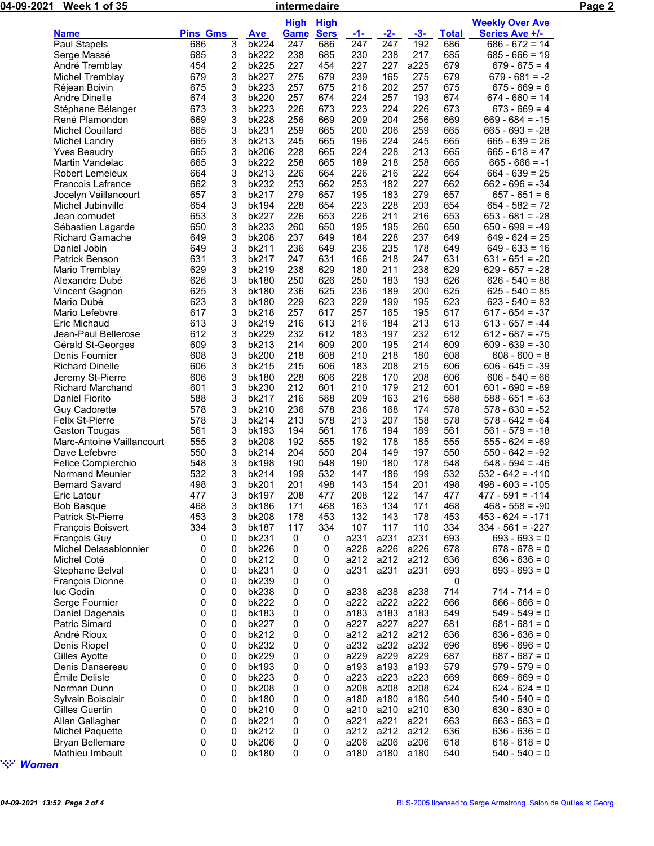| 04-09-2021 | Week 1 of 35                                   | intermedaire    |        |                |             |             |                  |                  |              |              | Page 2                                 |  |
|------------|------------------------------------------------|-----------------|--------|----------------|-------------|-------------|------------------|------------------|--------------|--------------|----------------------------------------|--|
|            |                                                |                 |        |                | <b>High</b> | <b>High</b> |                  |                  |              |              | <b>Weekly Over Ave</b>                 |  |
|            | <b>Name</b>                                    | <b>Pins Gms</b> |        | <b>Ave</b>     | <b>Game</b> | <b>Sers</b> | <u>-1-</u>       | $-2-$            | $-3-$        | <b>Total</b> | <b>Series Ave +/-</b>                  |  |
|            | Paul Stapels                                   | 686             | 3      | bk224          | 247         | 686         | $\overline{247}$ | $\overline{247}$ | 192          | 686          | $686 - 672 = 14$                       |  |
|            | Serge Massé                                    | 685             | 3      | bk222          | 238         | 685         | 230              | 238              | 217          | 685          | $685 - 666 = 19$                       |  |
|            | André Tremblay                                 | 454             | 2      | bk225          | 227         | 454         | 227              | 227              | a225         | 679          | $679 - 675 = 4$                        |  |
|            | Michel Tremblay                                | 679             | 3      | bk227          | 275         | 679         | 239              | 165              | 275          | 679          | $679 - 681 = -2$                       |  |
|            | Réjean Boivin                                  | 675             | 3      | bk223          | 257         | 675         | 216              | 202              | 257          | 675          | $675 - 669 = 6$                        |  |
|            | Andre Dinelle                                  | 674             | 3      | bk220          | 257         | 674         | 224              | 257              | 193          | 674          | $674 - 660 = 14$                       |  |
|            | Stéphane Bélanger                              | 673             | 3      | bk223          | 226         | 673         | 223              | 224              | 226          | 673          | $673 - 669 = 4$                        |  |
|            | René Plamondon                                 | 669             | 3      | bk228          | 256         | 669         | 209              | 204              | 256          | 669          | $669 - 684 = -15$                      |  |
|            | <b>Michel Couillard</b>                        | 665             | 3      | bk231          | 259         | 665         | 200              | 206              | 259          | 665          | $665 - 693 = -28$                      |  |
|            | Michel Landry                                  | 665             | 3<br>3 | bk213<br>bk206 | 245<br>228  | 665<br>665  | 196<br>224       | 224<br>228       | 245<br>213   | 665<br>665   | $665 - 639 = 26$<br>$665 - 618 = 47$   |  |
|            | <b>Yves Beaudry</b><br>Martin Vandelac         | 665<br>665      | 3      | bk222          | 258         | 665         | 189              | 218              | 258          | 665          | $665 - 666 = -1$                       |  |
|            | <b>Robert Lemeieux</b>                         | 664             | 3      | bk213          | 226         | 664         | 226              | 216              | 222          | 664          | $664 - 639 = 25$                       |  |
|            | Francois Lafrance                              | 662             | 3      | bk232          | 253         | 662         | 253              | 182              | 227          | 662          | $662 - 696 = -34$                      |  |
|            | Jocelyn Vaillancourt                           | 657             | 3      | bk217          | 279         | 657         | 195              | 183              | 279          | 657          | $657 - 651 = 6$                        |  |
|            | Michel Jubinville                              | 654             | 3      | bk194          | 228         | 654         | 223              | 228              | 203          | 654          | $654 - 582 = 72$                       |  |
|            | Jean cornudet                                  | 653             | 3      | bk227          | 226         | 653         | 226              | 211              | 216          | 653          | $653 - 681 = -28$                      |  |
|            | Sébastien Lagarde                              | 650             | 3      | bk233          | 260         | 650         | 195              | 195              | 260          | 650          | $650 - 699 = -49$                      |  |
|            | <b>Richard Gamache</b>                         | 649             | 3      | bk208          | 237         | 649         | 184              | 228              | 237          | 649          | $649 - 624 = 25$                       |  |
|            | Daniel Jobin                                   | 649             | 3      | bk211          | 236         | 649         | 236              | 235              | 178          | 649          | $649 - 633 = 16$                       |  |
|            | Patrick Benson                                 | 631             | 3      | bk217          | 247         | 631         | 166              | 218              | 247          | 631          | $631 - 651 = -20$                      |  |
|            | Mario Tremblay                                 | 629             | 3      | bk219          | 238         | 629         | 180              | 211              | 238          | 629          | $629 - 657 = -28$                      |  |
|            | Alexandre Dubé                                 | 626             | 3      | bk180          | 250         | 626         | 250              | 183              | 193          | 626          | $626 - 540 = 86$                       |  |
|            | Vincent Gagnon                                 | 625             | 3      | bk180          | 236         | 625         | 236              | 189              | 200          | 625          | $625 - 540 = 85$                       |  |
|            | Mario Dubé                                     | 623             | 3      | bk180          | 229         | 623         | 229              | 199              | 195          | 623          | $623 - 540 = 83$                       |  |
|            | Mario Lefebvre                                 | 617             | 3      | bk218          | 257         | 617         | 257              | 165              | 195          | 617          | $617 - 654 = -37$                      |  |
|            | Eric Michaud                                   | 613             | 3      | bk219          | 216         | 613         | 216              | 184              | 213          | 613          | $613 - 657 = -44$                      |  |
|            | Jean-Paul Bellerose                            | 612             | 3      | bk229          | 232         | 612         | 183              | 197              | 232          | 612          | $612 - 687 = -75$                      |  |
|            | Gérald St-Georges                              | 609             | 3      | bk213          | 214         | 609         | 200              | 195              | 214          | 609          | $609 - 639 = -30$                      |  |
|            | Denis Fournier                                 | 608             | 3      | bk200          | 218         | 608         | 210              | 218              | 180          | 608          | $608 - 600 = 8$                        |  |
|            | <b>Richard Dinelle</b>                         | 606             | 3      | bk215          | 215         | 606         | 183              | 208              | 215          | 606          | $606 - 645 = -39$                      |  |
|            | Jeremy St-Pierre                               | 606             | 3      | bk180          | 228         | 606         | 228              | 170              | 208          | 606          | $606 - 540 = 66$                       |  |
|            | <b>Richard Marchand</b>                        | 601             | 3      | bk230          | 212         | 601         | 210              | 179              | 212          | 601          | $601 - 690 = -89$                      |  |
|            | Daniel Fiorito                                 | 588<br>578      | 3<br>3 | bk217          | 216<br>236  | 588<br>578  | 209              | 163<br>168       | 216<br>174   | 588<br>578   | $588 - 651 = -63$<br>$578 - 630 = -52$ |  |
|            | <b>Guy Cadorette</b><br><b>Felix St-Pierre</b> | 578             | 3      | bk210<br>bk214 | 213         | 578         | 236<br>213       | 207              | 158          | 578          | $578 - 642 = -64$                      |  |
|            | Gaston Tougas                                  | 561             | 3      | bk193          | 194         | 561         | 178              | 194              | 189          | 561          | $561 - 579 = -18$                      |  |
|            | Marc-Antoine Vaillancourt                      | 555             | 3      | bk208          | 192         | 555         | 192              | 178              | 185          | 555          | $555 - 624 = -69$                      |  |
|            | Dave Lefebvre                                  | 550             | 3      | bk214          | 204         | 550         | 204              | 149              | 197          | 550          | $550 - 642 = -92$                      |  |
|            | Felice Compierchio                             | 548             | 3      | bk198          | 190         | 548         | 190              | 180              | 178          | 548          | $548 - 594 = -46$                      |  |
|            | Normand Meunier                                | 532             | 3      | bk214          | 199         | 532         | 147              | 186              | 199          | 532          | $532 - 642 = -110$                     |  |
|            | <b>Bernard Savard</b>                          | 498             | 3      | bk201          | 201         | 498         | 143              | 154              | 201          | 498          | $498 - 603 = -105$                     |  |
|            | Eric Latour                                    | 477             | 3      | bk197          | 208         | 477         | 208              | 122              | 147          | 477          | $477 - 591 = -114$                     |  |
|            | <b>Bob Basque</b>                              | 468             | 3      | bk186          | 171         | 468         | 163              | 134              | 171          | 468          | $468 - 558 = -90$                      |  |
|            | <b>Patrick St-Pierre</b>                       | 453             | 3      | bk208          | 178         | 453         | 132              | 143              | 178          | 453          | $453 - 624 = -171$                     |  |
|            | François Boisvert                              | 334             | 3      | bk187          | 117         | 334         | 107              | 117              | 110          | 334          | $334 - 561 = -227$                     |  |
|            | <b>François Guy</b>                            | 0               | 0      | bk231          | 0           | 0           | a231             | a231             | a231         | 693          | $693 - 693 = 0$                        |  |
|            | Michel Delasablonnier                          | 0               | 0      | bk226          | 0           | 0           | a226             | a226             | a226         | 678          | $678 - 678 = 0$                        |  |
|            | Michel Coté                                    | 0               | 0      | bk212          | 0           | 0           | a212             | a212             | a212         | 636          | $636 - 636 = 0$                        |  |
|            | Stephane Belval                                | 0               | 0      | bk231          | 0           | 0           | a231             | a231             | a231         | 693          | $693 - 693 = 0$                        |  |
|            | François Dionne                                | 0               | 0      | bk239          | 0           | 0           |                  |                  |              | 0            |                                        |  |
|            | luc Godin                                      | 0               | 0      | bk238          | 0           | 0           | a238             |                  | a238 a238    | 714          | $714 - 714 = 0$                        |  |
|            | Serge Fournier                                 | 0               | 0      | <b>bk222</b>   | 0           | 0           |                  | a222 a222 a222   |              | 666          | $666 - 666 = 0$                        |  |
|            | Daniel Dagenais                                | 0               | 0      | bk183          | 0           | 0           | a183             | a183             | a183         | 549          | $549 - 549 = 0$                        |  |
|            | <b>Patric Simard</b>                           | 0               | 0      | bk227          | 0           | 0           | a227             | a227             | a227         | 681          | $681 - 681 = 0$                        |  |
|            | André Rioux                                    | 0               | 0      | bk212          | 0           | 0           | a212             |                  | a212 a212    | 636          | $636 - 636 = 0$                        |  |
|            | Denis Riopel                                   | 0               | 0      | bk232          | 0           | 0           | a232             | a232             | a232         | 696          | $696 - 696 = 0$                        |  |
|            | Gilles Ayotte                                  | 0               | 0      | bk229          | 0           | 0           | a229             | a229             | a229         | 687          | $687 - 687 = 0$                        |  |
|            | Denis Dansereau                                | 0               | 0      | bk193          | 0           | 0           | a193             |                  | a193 a193    | 579          | $579 - 579 = 0$                        |  |
|            | Émile Delisle<br>Norman Dunn                   | 0<br>0          | 0<br>0 | bk223<br>bk208 | 0<br>0      | 0<br>0      | a223<br>a208     | a223<br>a208     | a223<br>a208 | 669<br>624   | $669 - 669 = 0$<br>$624 - 624 = 0$     |  |
|            | Sylvain Boisclair                              | 0               | 0      | bk180          | 0           | 0           | a180             | a180             | a180         | 540          | $540 - 540 = 0$                        |  |
|            | Gilles Guertin                                 | 0               | 0      | bk210          | 0           | 0           | a210             |                  | a210 a210    | 630          | $630 - 630 = 0$                        |  |
|            | Allan Gallagher                                | 0               | 0      | bk221          | 0           | 0           | a221             | a221             | a221         | 663          | $663 - 663 = 0$                        |  |
|            | Michel Paquette                                | 0               | 0      | bk212          | 0           | 0           | a212             | a212             | a212         | 636          | $636 - 636 = 0$                        |  |
|            | <b>Bryan Bellemare</b>                         | 0               | 0      | bk206          | 0           | 0           | a206             |                  | a206 a206    | 618          | $618 - 618 = 0$                        |  |
|            | Mathieu Imbault                                | 0               | 0      | bk180          | 0           | 0           | a180             |                  | a180 a180    | 540          | $540 - 540 = 0$                        |  |
|            |                                                |                 |        |                |             |             |                  |                  |              |              |                                        |  |

" *Women*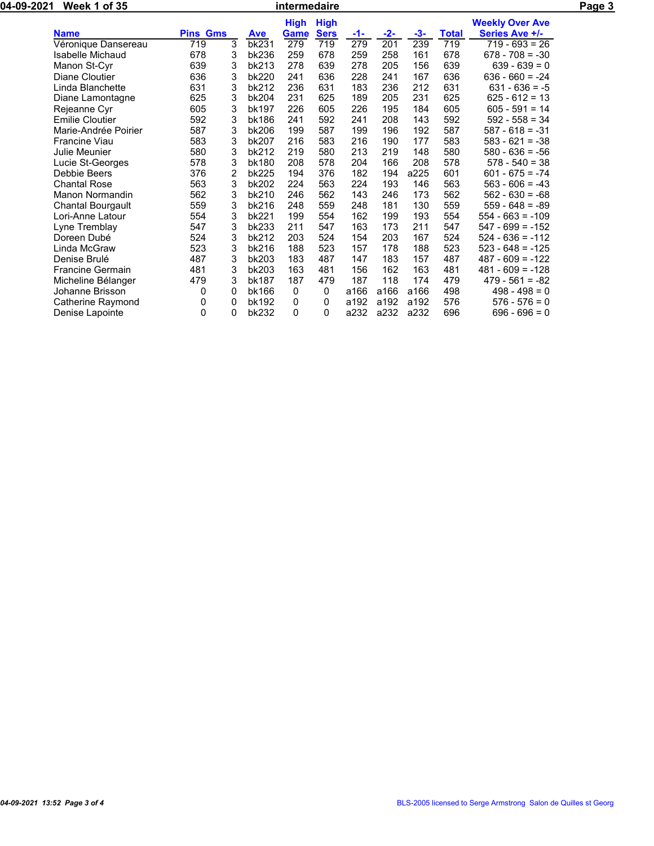| 04-09-2021 | <b>Week 1 of 35</b>     |                 |                |            | Page 3              |                            |       |                  |       |              |                                          |  |
|------------|-------------------------|-----------------|----------------|------------|---------------------|----------------------------|-------|------------------|-------|--------------|------------------------------------------|--|
|            | <b>Name</b>             | <b>Pins Gms</b> |                | <b>Ave</b> | <b>High</b><br>Game | <b>High</b><br><b>Sers</b> | $-1-$ | $-2-$            | $-3-$ | <b>Total</b> | <b>Weekly Over Ave</b><br>Series Ave +/- |  |
|            | Véronique Dansereau     | 719             | 3              | bk231      | 279                 | 719                        | 279   | $\overline{201}$ | 239   | 719          | $\overline{719} - 693 = 26$              |  |
|            | Isabelle Michaud        | 678             | 3              | bk236      | 259                 | 678                        | 259   | 258              | 161   | 678          | $678 - 708 = -30$                        |  |
|            | Manon St-Cyr            | 639             | 3              | bk213      | 278                 | 639                        | 278   | 205              | 156   | 639          | $639 - 639 = 0$                          |  |
|            | Diane Cloutier          | 636             | 3              | bk220      | 241                 | 636                        | 228   | 241              | 167   | 636          | $636 - 660 = -24$                        |  |
|            | Linda Blanchette        | 631             | 3              | bk212      | 236                 | 631                        | 183   | 236              | 212   | 631          | $631 - 636 = -5$                         |  |
|            | Diane Lamontagne        | 625             | 3              | bk204      | 231                 | 625                        | 189   | 205              | 231   | 625          | $625 - 612 = 13$                         |  |
|            | Rejeanne Cyr            | 605             | 3              | bk197      | 226                 | 605                        | 226   | 195              | 184   | 605          | $605 - 591 = 14$                         |  |
|            | <b>Emilie Cloutier</b>  | 592             | 3              | bk186      | 241                 | 592                        | 241   | 208              | 143   | 592          | $592 - 558 = 34$                         |  |
|            | Marie-Andrée Poirier    | 587             | 3              | bk206      | 199                 | 587                        | 199   | 196              | 192   | 587          | $587 - 618 = -31$                        |  |
|            | Francine Viau           | 583             | 3              | bk207      | 216                 | 583                        | 216   | 190              | 177   | 583          | $583 - 621 = -38$                        |  |
|            | Julie Meunier           | 580             | 3              | bk212      | 219                 | 580                        | 213   | 219              | 148   | 580          | $580 - 636 = -56$                        |  |
|            | Lucie St-Georges        | 578             | 3              | bk180      | 208                 | 578                        | 204   | 166              | 208   | 578          | $578 - 540 = 38$                         |  |
|            | Debbie Beers            | 376             | $\overline{2}$ | bk225      | 194                 | 376                        | 182   | 194              | a225  | 601          | $601 - 675 = -74$                        |  |
|            | <b>Chantal Rose</b>     | 563             | 3              | bk202      | 224                 | 563                        | 224   | 193              | 146   | 563          | $563 - 606 = -43$                        |  |
|            | Manon Normandin         | 562             | 3              | bk210      | 246                 | 562                        | 143   | 246              | 173   | 562          | $562 - 630 = -68$                        |  |
|            | Chantal Bourgault       | 559             | 3              | bk216      | 248                 | 559                        | 248   | 181              | 130   | 559          | $559 - 648 = -89$                        |  |
|            | Lori-Anne Latour        | 554             | 3              | bk221      | 199                 | 554                        | 162   | 199              | 193   | 554          | $554 - 663 = -109$                       |  |
|            | Lyne Tremblay           | 547             | 3              | bk233      | 211                 | 547                        | 163   | 173              | 211   | 547          | $547 - 699 = -152$                       |  |
|            | Doreen Dubé             | 524             | 3              | bk212      | 203                 | 524                        | 154   | 203              | 167   | 524          | $524 - 636 = -112$                       |  |
|            | Linda McGraw            | 523             | 3              | bk216      | 188                 | 523                        | 157   | 178              | 188   | 523          | $523 - 648 = -125$                       |  |
|            | Denise Brulé            | 487             | 3              | bk203      | 183                 | 487                        | 147   | 183              | 157   | 487          | $487 - 609 = -122$                       |  |
|            | <b>Francine Germain</b> | 481             | 3              | bk203      | 163                 | 481                        | 156   | 162              | 163   | 481          | $481 - 609 = -128$                       |  |
|            | Micheline Bélanger      | 479             | 3              | bk187      | 187                 | 479                        | 187   | 118              | 174   | 479          | $479 - 561 = -82$                        |  |
|            | Johanne Brisson         | 0               | 0              | bk166      | 0                   | 0                          | a166  | a166             | a166  | 498          | $498 - 498 = 0$                          |  |
|            | Catherine Raymond       | 0               | 0              | bk192      | 0                   | 0                          | a192  | a192             | a192  | 576          | $576 - 576 = 0$                          |  |
|            | Denise Lapointe         | 0               | 0              | bk232      | 0                   | 0                          | a232  | a232             | a232  | 696          | $696 - 696 = 0$                          |  |
|            |                         |                 |                |            |                     |                            |       |                  |       |              |                                          |  |